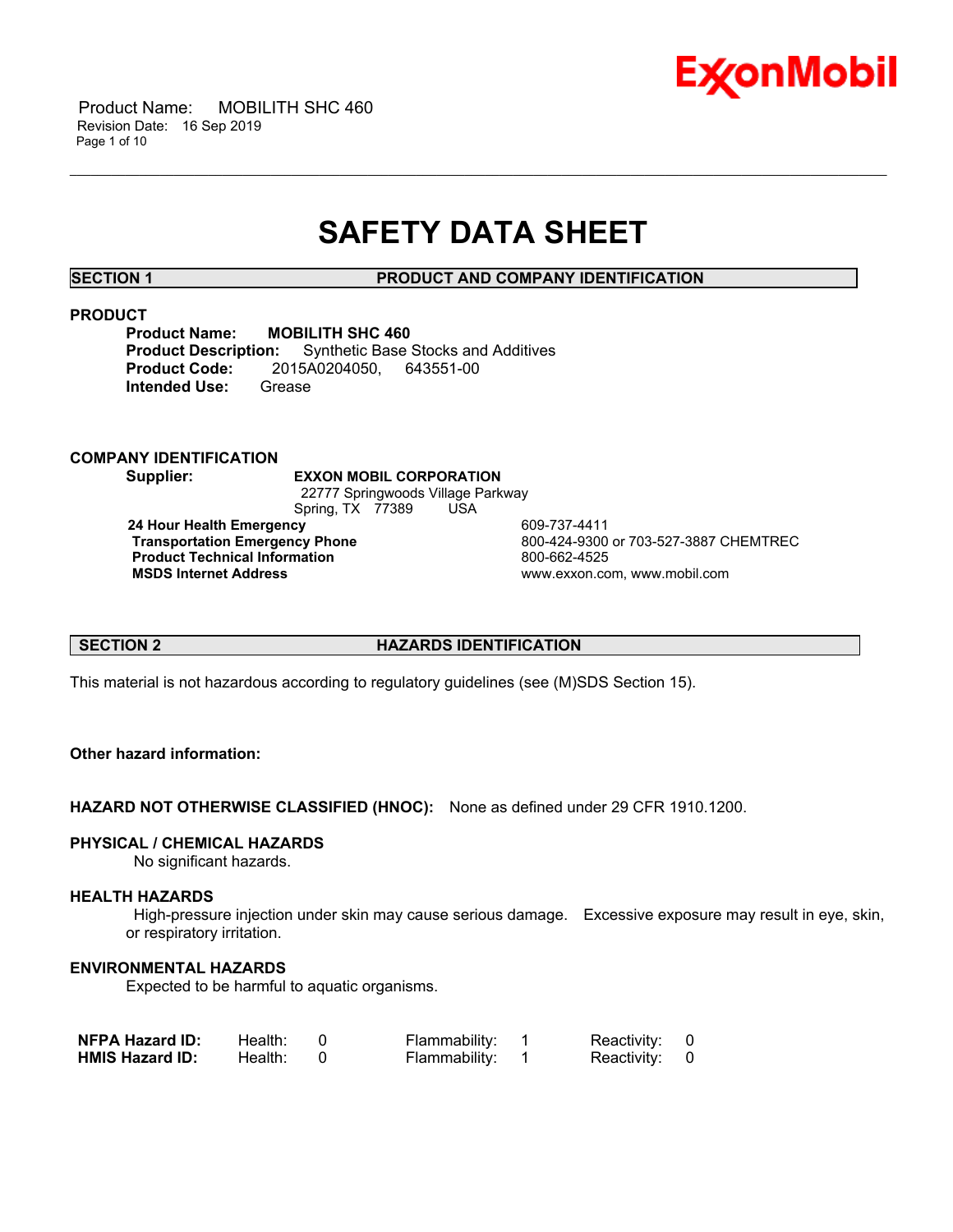

## **SAFETY DATA SHEET**

\_\_\_\_\_\_\_\_\_\_\_\_\_\_\_\_\_\_\_\_\_\_\_\_\_\_\_\_\_\_\_\_\_\_\_\_\_\_\_\_\_\_\_\_\_\_\_\_\_\_\_\_\_\_\_\_\_\_\_\_\_\_\_\_\_\_\_\_\_\_\_\_\_\_\_\_\_\_\_\_\_\_\_\_\_\_\_\_\_\_\_\_\_\_\_\_\_\_\_\_\_\_\_\_\_\_\_\_\_\_\_\_\_\_\_\_\_\_

**SECTION 1 PRODUCT AND COMPANY IDENTIFICATION**

#### **PRODUCT**

**Product Name: MOBILITH SHC 460<br>Product Description:** Synthetic Base **Synthetic Base Stocks and Additives Product Code:** 2015A0204050, 643551-00 **Intended Use:** Grease

#### **COMPANY IDENTIFICATION**

**Supplier: EXXON MOBIL CORPORATION** 22777 Springwoods Village Parkway Spring, TX 77389 USA **24 Hour Health Emergency** 609-737-4411

**Product Technical Information**<br> **MSDS Internet Address**<br> **MSDS Internet Address** 

**Transportation Emergency Phone** 800-424-9300 or 703-527-3887 CHEMTREC  **MSDS Internet Address** www.exxon.com, www.mobil.com

#### **SECTION 2 HAZARDS IDENTIFICATION**

This material is not hazardous according to regulatory guidelines (see (M)SDS Section 15).

### **Other hazard information:**

**HAZARD NOT OTHERWISE CLASSIFIED (HNOC):** None as defined under 29 CFR 1910.1200.

#### **PHYSICAL / CHEMICAL HAZARDS**

No significant hazards.

#### **HEALTH HAZARDS**

 High-pressure injection under skin may cause serious damage. Excessive exposure may result in eye, skin, or respiratory irritation.

#### **ENVIRONMENTAL HAZARDS**

Expected to be harmful to aquatic organisms.

| <b>NFPA Hazard ID:</b> | Health: | Flammability: | Reactivity: 0 |  |
|------------------------|---------|---------------|---------------|--|
| <b>HMIS Hazard ID:</b> | Health: | Flammability: | Reactivity: 0 |  |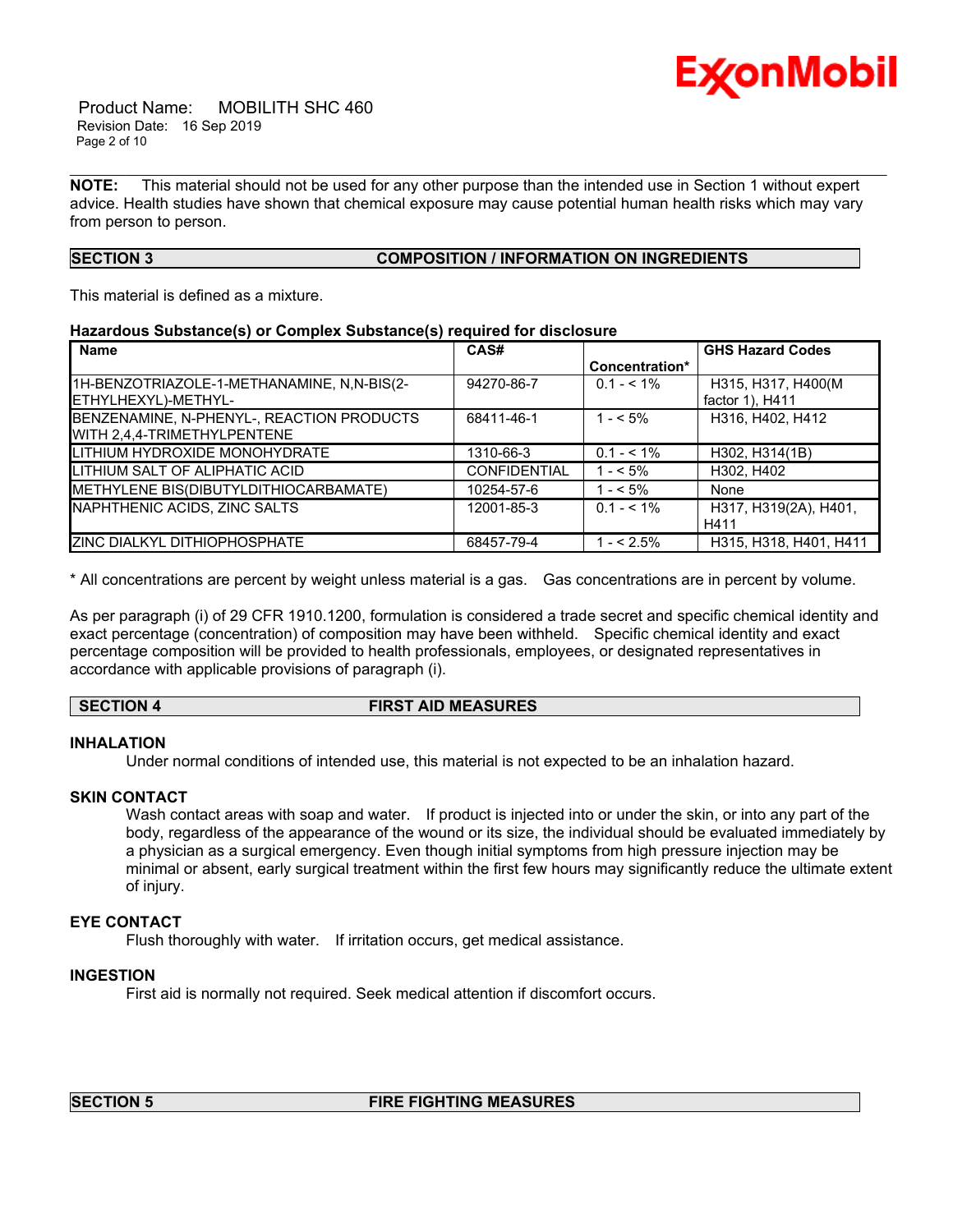

 Product Name: MOBILITH SHC 460 Revision Date: 16 Sep 2019 Page 2 of 10

**NOTE:** This material should not be used for any other purpose than the intended use in Section 1 without expert advice. Health studies have shown that chemical exposure may cause potential human health risks which may vary from person to person.

\_\_\_\_\_\_\_\_\_\_\_\_\_\_\_\_\_\_\_\_\_\_\_\_\_\_\_\_\_\_\_\_\_\_\_\_\_\_\_\_\_\_\_\_\_\_\_\_\_\_\_\_\_\_\_\_\_\_\_\_\_\_\_\_\_\_\_\_\_\_\_\_\_\_\_\_\_\_\_\_\_\_\_\_\_\_\_\_\_\_\_\_\_\_\_\_\_\_\_\_\_\_\_\_\_\_\_\_\_\_\_\_\_\_\_\_\_\_

### **SECTION 3 COMPOSITION / INFORMATION ON INGREDIENTS**

This material is defined as a mixture.

#### **Hazardous Substance(s) or Complex Substance(s) required for disclosure**

| <b>Name</b>                                                              | CAS#                |                | <b>GHS Hazard Codes</b>               |
|--------------------------------------------------------------------------|---------------------|----------------|---------------------------------------|
|                                                                          |                     | Concentration* |                                       |
| 1H-BENZOTRIAZOLE-1-METHANAMINE, N.N-BIS(2-<br>ETHYLHEXYL)-METHYL-        | 94270-86-7          | $0.1 - 5.1\%$  | H315, H317, H400(M<br>factor 1), H411 |
| BENZENAMINE, N-PHENYL-, REACTION PRODUCTS<br>WITH 2,4,4-TRIMETHYLPENTENE | 68411-46-1          | $1 - 5\%$      | H316, H402, H412                      |
| LITHIUM HYDROXIDE MONOHYDRATE                                            | 1310-66-3           | $0.1 - 5.1\%$  | H302, H314(1B)                        |
| <b>ILITHIUM SALT OF ALIPHATIC ACID</b>                                   | <b>CONFIDENTIAL</b> | $1 - 5\%$      | H302, H402                            |
| METHYLENE BIS(DIBUTYLDITHIOCARBAMATE)                                    | 10254-57-6          | $1 - 5\%$      | None                                  |
| NAPHTHENIC ACIDS, ZINC SALTS                                             | 12001-85-3          | $0.1 - 5.1\%$  | H317, H319(2A), H401,<br>H411         |
| <b>ZINC DIALKYL DITHIOPHOSPHATE</b>                                      | 68457-79-4          | $1 - 5\%$      | H315, H318, H401, H411                |

\* All concentrations are percent by weight unless material is a gas. Gas concentrations are in percent by volume.

As per paragraph (i) of 29 CFR 1910.1200, formulation is considered a trade secret and specific chemical identity and exact percentage (concentration) of composition may have been withheld. Specific chemical identity and exact percentage composition will be provided to health professionals, employees, or designated representatives in accordance with applicable provisions of paragraph (i).

#### **SECTION 4 FIRST AID MEASURES**

### **INHALATION**

Under normal conditions of intended use, this material is not expected to be an inhalation hazard.

#### **SKIN CONTACT**

Wash contact areas with soap and water. If product is injected into or under the skin, or into any part of the body, regardless of the appearance of the wound or its size, the individual should be evaluated immediately by a physician as a surgical emergency. Even though initial symptoms from high pressure injection may be minimal or absent, early surgical treatment within the first few hours may significantly reduce the ultimate extent of injury.

#### **EYE CONTACT**

Flush thoroughly with water. If irritation occurs, get medical assistance.

#### **INGESTION**

First aid is normally not required. Seek medical attention if discomfort occurs.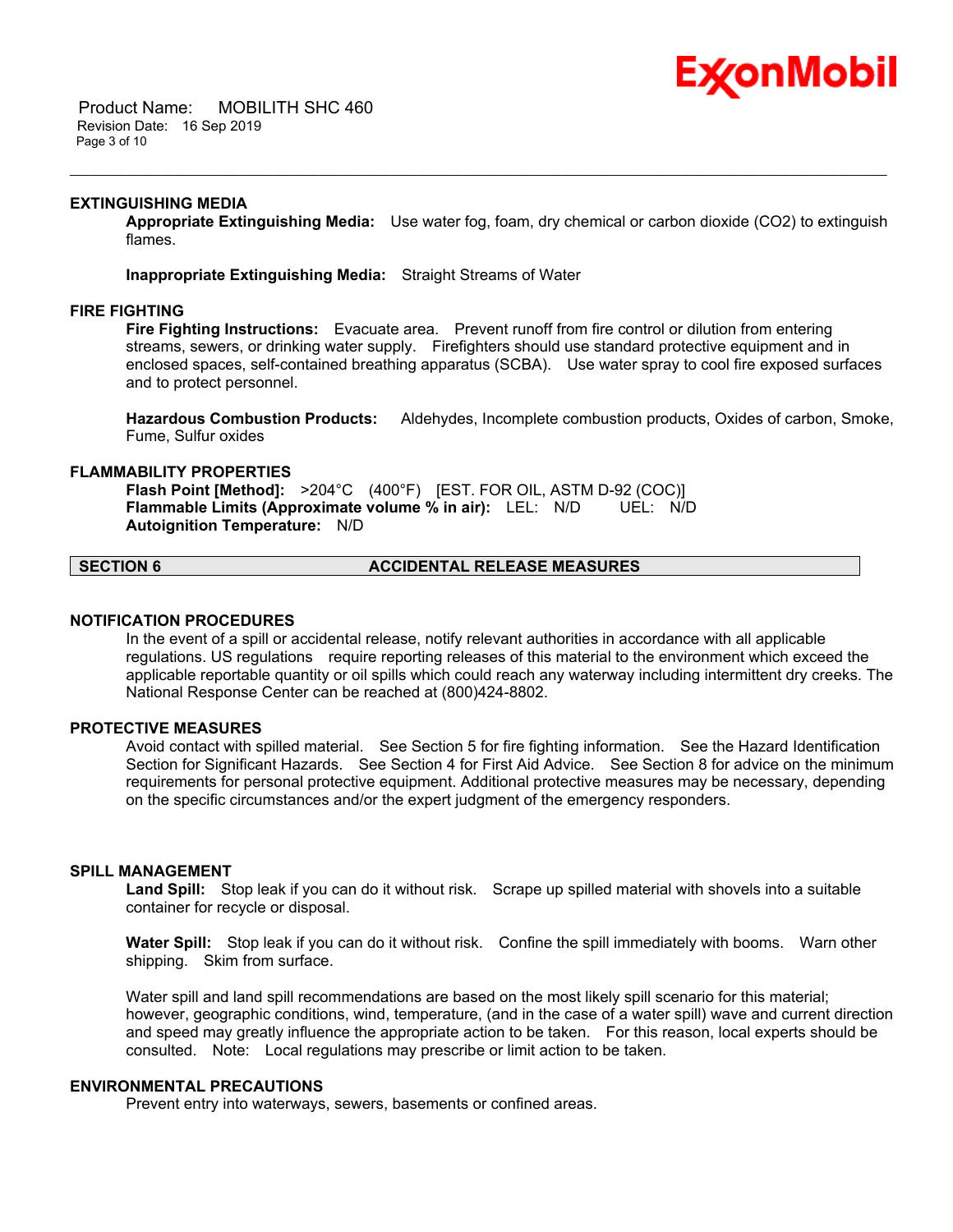

 Product Name: MOBILITH SHC 460 Revision Date: 16 Sep 2019 Page 3 of 10

#### **EXTINGUISHING MEDIA**

**Appropriate Extinguishing Media:** Use water fog, foam, dry chemical or carbon dioxide (CO2) to extinguish flames.

\_\_\_\_\_\_\_\_\_\_\_\_\_\_\_\_\_\_\_\_\_\_\_\_\_\_\_\_\_\_\_\_\_\_\_\_\_\_\_\_\_\_\_\_\_\_\_\_\_\_\_\_\_\_\_\_\_\_\_\_\_\_\_\_\_\_\_\_\_\_\_\_\_\_\_\_\_\_\_\_\_\_\_\_\_\_\_\_\_\_\_\_\_\_\_\_\_\_\_\_\_\_\_\_\_\_\_\_\_\_\_\_\_\_\_\_\_\_

**Inappropriate Extinguishing Media:** Straight Streams of Water

#### **FIRE FIGHTING**

**Fire Fighting Instructions:** Evacuate area. Prevent runoff from fire control or dilution from entering streams, sewers, or drinking water supply. Firefighters should use standard protective equipment and in enclosed spaces, self-contained breathing apparatus (SCBA). Use water spray to cool fire exposed surfaces and to protect personnel.

**Hazardous Combustion Products:** Aldehydes, Incomplete combustion products, Oxides of carbon, Smoke, Fume, Sulfur oxides

#### **FLAMMABILITY PROPERTIES**

**Flash Point [Method]:** >204°C (400°F) [EST. FOR OIL, ASTM D-92 (COC)] **Flammable Limits (Approximate volume % in air):** LEL: N/D UEL: N/D **Autoignition Temperature:** N/D

### **SECTION 6 ACCIDENTAL RELEASE MEASURES**

#### **NOTIFICATION PROCEDURES**

In the event of a spill or accidental release, notify relevant authorities in accordance with all applicable regulations. US regulations require reporting releases of this material to the environment which exceed the applicable reportable quantity or oil spills which could reach any waterway including intermittent dry creeks. The National Response Center can be reached at (800)424-8802.

#### **PROTECTIVE MEASURES**

Avoid contact with spilled material. See Section 5 for fire fighting information. See the Hazard Identification Section for Significant Hazards. See Section 4 for First Aid Advice. See Section 8 for advice on the minimum requirements for personal protective equipment. Additional protective measures may be necessary, depending on the specific circumstances and/or the expert judgment of the emergency responders.

#### **SPILL MANAGEMENT**

**Land Spill:** Stop leak if you can do it without risk. Scrape up spilled material with shovels into a suitable container for recycle or disposal.

**Water Spill:** Stop leak if you can do it without risk. Confine the spill immediately with booms. Warn other shipping. Skim from surface.

Water spill and land spill recommendations are based on the most likely spill scenario for this material; however, geographic conditions, wind, temperature, (and in the case of a water spill) wave and current direction and speed may greatly influence the appropriate action to be taken. For this reason, local experts should be consulted. Note: Local regulations may prescribe or limit action to be taken.

#### **ENVIRONMENTAL PRECAUTIONS**

Prevent entry into waterways, sewers, basements or confined areas.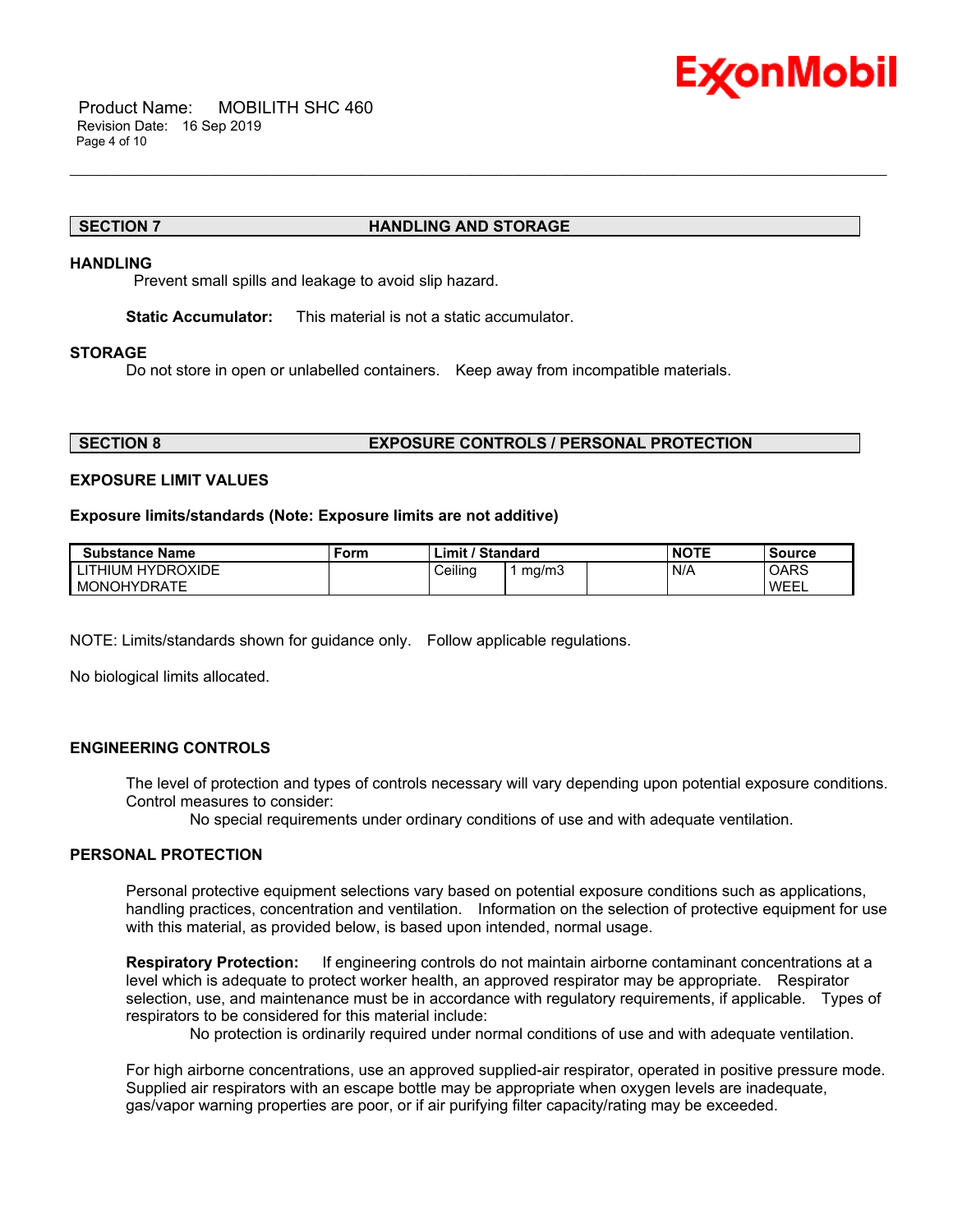

#### **SECTION 7 HANDLING AND STORAGE**

#### **HANDLING**

Prevent small spills and leakage to avoid slip hazard.

**Static Accumulator:** This material is not a static accumulator.

#### **STORAGE**

Do not store in open or unlabelled containers. Keep away from incompatible materials.

\_\_\_\_\_\_\_\_\_\_\_\_\_\_\_\_\_\_\_\_\_\_\_\_\_\_\_\_\_\_\_\_\_\_\_\_\_\_\_\_\_\_\_\_\_\_\_\_\_\_\_\_\_\_\_\_\_\_\_\_\_\_\_\_\_\_\_\_\_\_\_\_\_\_\_\_\_\_\_\_\_\_\_\_\_\_\_\_\_\_\_\_\_\_\_\_\_\_\_\_\_\_\_\_\_\_\_\_\_\_\_\_\_\_\_\_\_\_

#### **SECTION 8 EXPOSURE CONTROLS / PERSONAL PROTECTION**

#### **EXPOSURE LIMIT VALUES**

#### **Exposure limits/standards (Note: Exposure limits are not additive)**

| <b>Substance Name</b> | Form | <b>Limit / Standard</b> |       | <b>NOTE</b> | Source |
|-----------------------|------|-------------------------|-------|-------------|--------|
| LITHIUM HYDROXIDE     |      | Ceilina                 | ma/m3 | N/A         | OARS   |
| MONOHYDRATE           |      |                         |       |             | WEEL   |

NOTE: Limits/standards shown for guidance only. Follow applicable regulations.

No biological limits allocated.

#### **ENGINEERING CONTROLS**

The level of protection and types of controls necessary will vary depending upon potential exposure conditions. Control measures to consider:

No special requirements under ordinary conditions of use and with adequate ventilation.

### **PERSONAL PROTECTION**

Personal protective equipment selections vary based on potential exposure conditions such as applications, handling practices, concentration and ventilation. Information on the selection of protective equipment for use with this material, as provided below, is based upon intended, normal usage.

**Respiratory Protection:** If engineering controls do not maintain airborne contaminant concentrations at a level which is adequate to protect worker health, an approved respirator may be appropriate. Respirator selection, use, and maintenance must be in accordance with regulatory requirements, if applicable. Types of respirators to be considered for this material include:

No protection is ordinarily required under normal conditions of use and with adequate ventilation.

For high airborne concentrations, use an approved supplied-air respirator, operated in positive pressure mode. Supplied air respirators with an escape bottle may be appropriate when oxygen levels are inadequate, gas/vapor warning properties are poor, or if air purifying filter capacity/rating may be exceeded.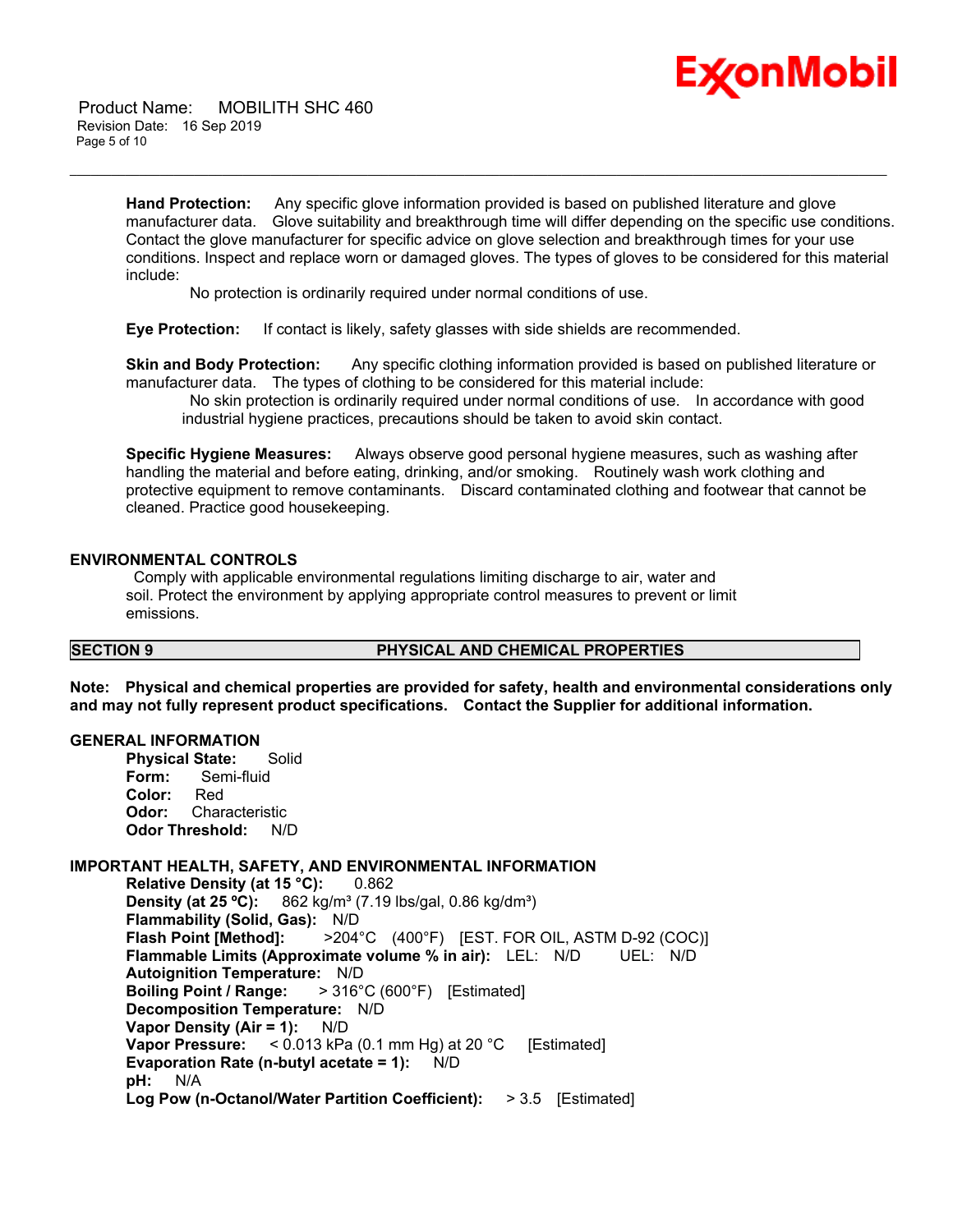

 Product Name: MOBILITH SHC 460 Revision Date: 16 Sep 2019 Page 5 of 10

> **Hand Protection:** Any specific glove information provided is based on published literature and glove manufacturer data. Glove suitability and breakthrough time will differ depending on the specific use conditions. Contact the glove manufacturer for specific advice on glove selection and breakthrough times for your use conditions. Inspect and replace worn or damaged gloves. The types of gloves to be considered for this material include:

\_\_\_\_\_\_\_\_\_\_\_\_\_\_\_\_\_\_\_\_\_\_\_\_\_\_\_\_\_\_\_\_\_\_\_\_\_\_\_\_\_\_\_\_\_\_\_\_\_\_\_\_\_\_\_\_\_\_\_\_\_\_\_\_\_\_\_\_\_\_\_\_\_\_\_\_\_\_\_\_\_\_\_\_\_\_\_\_\_\_\_\_\_\_\_\_\_\_\_\_\_\_\_\_\_\_\_\_\_\_\_\_\_\_\_\_\_\_

No protection is ordinarily required under normal conditions of use.

**Eye Protection:** If contact is likely, safety glasses with side shields are recommended.

**Skin and Body Protection:** Any specific clothing information provided is based on published literature or manufacturer data. The types of clothing to be considered for this material include:

 No skin protection is ordinarily required under normal conditions of use. In accordance with good industrial hygiene practices, precautions should be taken to avoid skin contact.

**Specific Hygiene Measures:** Always observe good personal hygiene measures, such as washing after handling the material and before eating, drinking, and/or smoking. Routinely wash work clothing and protective equipment to remove contaminants. Discard contaminated clothing and footwear that cannot be cleaned. Practice good housekeeping.

#### **ENVIRONMENTAL CONTROLS**

 Comply with applicable environmental regulations limiting discharge to air, water and soil. Protect the environment by applying appropriate control measures to prevent or limit emissions.

#### **SECTION 9 PHYSICAL AND CHEMICAL PROPERTIES**

**Note: Physical and chemical properties are provided for safety, health and environmental considerations only and may not fully represent product specifications. Contact the Supplier for additional information.**

#### **GENERAL INFORMATION**

**Physical State:** Solid **Form:** Semi-fluid **Color:** Red **Odor:** Characteristic **Odor Threshold:** N/D

#### **IMPORTANT HEALTH, SAFETY, AND ENVIRONMENTAL INFORMATION**

**Relative Density (at 15 °C):** 0.862 **Density (at 25 °C):** 862 kg/m<sup>3</sup> (7.19 lbs/gal, 0.86 kg/dm<sup>3</sup>) **Flammability (Solid, Gas):** N/D **Flash Point [Method]:** >204°C (400°F) [EST. FOR OIL, ASTM D-92 (COC)] **Flammable Limits (Approximate volume % in air):** LEL: N/D UEL: N/D **Autoignition Temperature:** N/D **Boiling Point / Range:** > 316°C (600°F) [Estimated] **Decomposition Temperature:** N/D **Vapor Density (Air = 1):** N/D **Vapor Pressure:** < 0.013 kPa (0.1 mm Hg) at 20 °C [Estimated] **Evaporation Rate (n-butyl acetate = 1):** N/D **pH:** N/A **Log Pow (n-Octanol/Water Partition Coefficient):** > 3.5 [Estimated]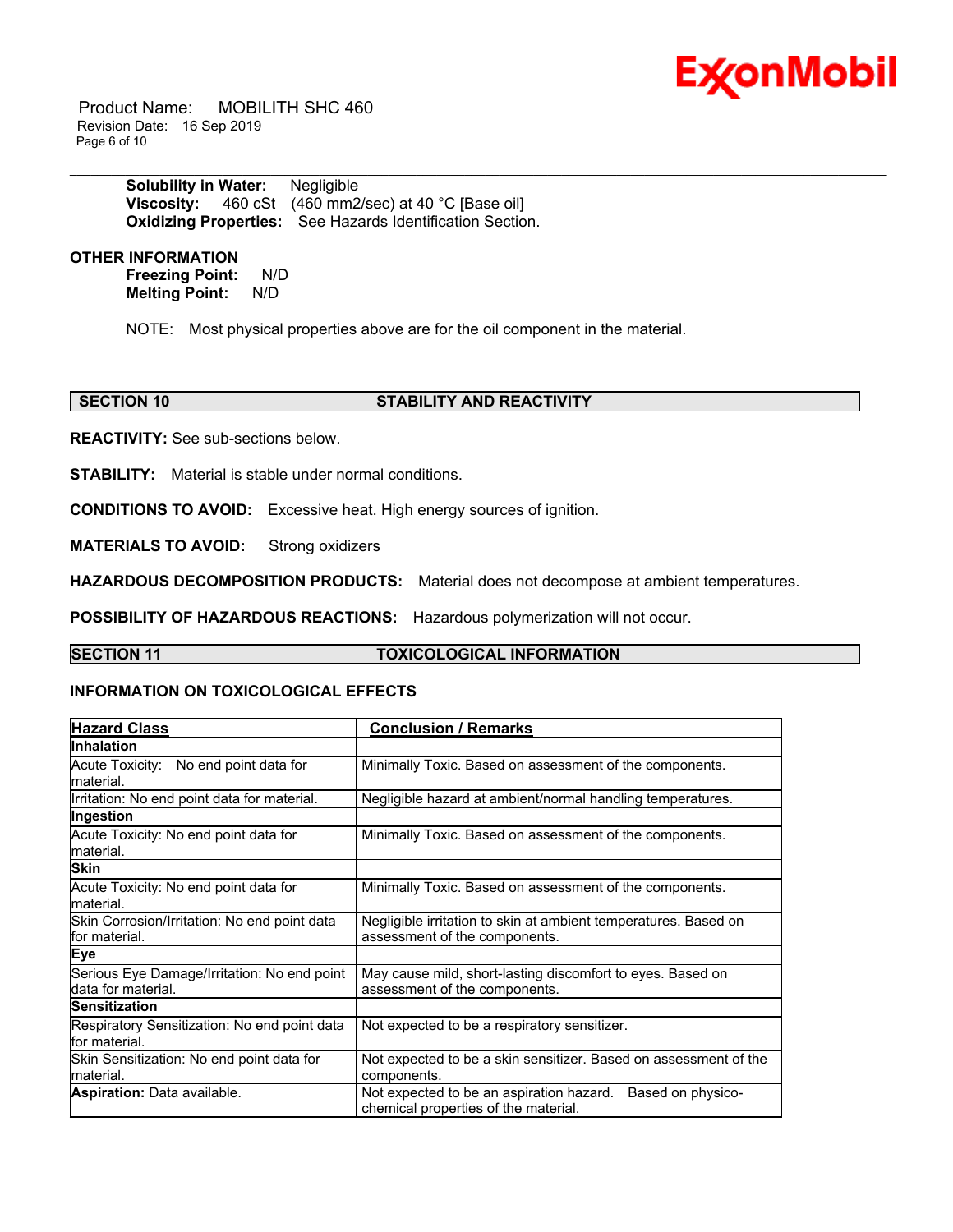# ExconMobil

 Product Name: MOBILITH SHC 460 Revision Date: 16 Sep 2019 Page 6 of 10

> **Solubility in Water:** Negligible **Viscosity:** 460 cSt (460 mm2/sec) at 40 °C [Base oil] **Oxidizing Properties:** See Hazards Identification Section.

#### **OTHER INFORMATION**

**Freezing Point:** N/D **Melting Point:** N/D

NOTE: Most physical properties above are for the oil component in the material.

\_\_\_\_\_\_\_\_\_\_\_\_\_\_\_\_\_\_\_\_\_\_\_\_\_\_\_\_\_\_\_\_\_\_\_\_\_\_\_\_\_\_\_\_\_\_\_\_\_\_\_\_\_\_\_\_\_\_\_\_\_\_\_\_\_\_\_\_\_\_\_\_\_\_\_\_\_\_\_\_\_\_\_\_\_\_\_\_\_\_\_\_\_\_\_\_\_\_\_\_\_\_\_\_\_\_\_\_\_\_\_\_\_\_\_\_\_\_

#### **SECTION 10 STABILITY AND REACTIVITY**

**REACTIVITY:** See sub-sections below.

**STABILITY:** Material is stable under normal conditions.

**CONDITIONS TO AVOID:** Excessive heat. High energy sources of ignition.

**MATERIALS TO AVOID:** Strong oxidizers

**HAZARDOUS DECOMPOSITION PRODUCTS:** Material does not decompose at ambient temperatures.

**POSSIBILITY OF HAZARDOUS REACTIONS:** Hazardous polymerization will not occur.

#### **SECTION 11 TOXICOLOGICAL INFORMATION**

#### **INFORMATION ON TOXICOLOGICAL EFFECTS**

| <b>Hazard Class</b>                                               | <b>Conclusion / Remarks</b>                                                                           |  |
|-------------------------------------------------------------------|-------------------------------------------------------------------------------------------------------|--|
| <b>Inhalation</b>                                                 |                                                                                                       |  |
| Acute Toxicity: No end point data for<br>lmaterial.               | Minimally Toxic. Based on assessment of the components.                                               |  |
| Irritation: No end point data for material.                       | Negligible hazard at ambient/normal handling temperatures.                                            |  |
| Ingestion                                                         |                                                                                                       |  |
| Acute Toxicity: No end point data for<br>lmaterial.               | Minimally Toxic. Based on assessment of the components.                                               |  |
| <b>Skin</b>                                                       |                                                                                                       |  |
| Acute Toxicity: No end point data for<br>lmaterial.               | Minimally Toxic. Based on assessment of the components.                                               |  |
| Skin Corrosion/Irritation: No end point data<br>lfor material.    | Negligible irritation to skin at ambient temperatures. Based on<br>assessment of the components.      |  |
| <b>Eye</b>                                                        |                                                                                                       |  |
| Serious Eye Damage/Irritation: No end point<br>data for material. | May cause mild, short-lasting discomfort to eyes. Based on<br>assessment of the components.           |  |
| <b>Sensitization</b>                                              |                                                                                                       |  |
| Respiratory Sensitization: No end point data<br>lfor material.    | Not expected to be a respiratory sensitizer.                                                          |  |
| Skin Sensitization: No end point data for<br>material.            | Not expected to be a skin sensitizer. Based on assessment of the<br>components.                       |  |
| <b>Aspiration: Data available.</b>                                | Based on physico-<br>Not expected to be an aspiration hazard.<br>chemical properties of the material. |  |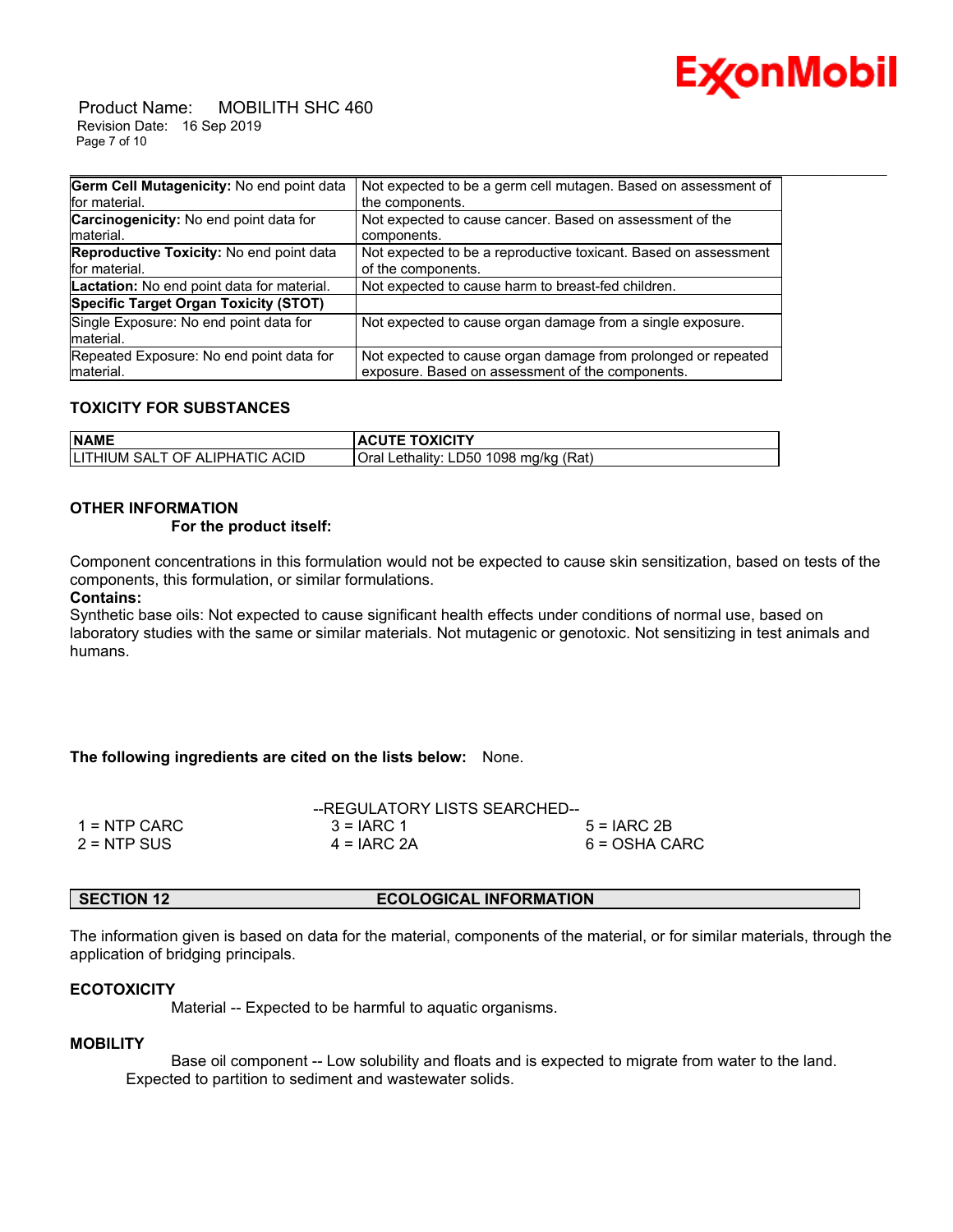

 Product Name: MOBILITH SHC 460 Revision Date: 16 Sep 2019 Page 7 of 10

| Germ Cell Mutagenicity: No end point data                   | Not expected to be a germ cell mutagen. Based on assessment of                                                    |
|-------------------------------------------------------------|-------------------------------------------------------------------------------------------------------------------|
| for material.                                               | the components.                                                                                                   |
| <b>Carcinogenicity:</b> No end point data for<br>Imaterial. | Not expected to cause cancer. Based on assessment of the<br>components.                                           |
| Reproductive Toxicity: No end point data<br>for material.   | Not expected to be a reproductive toxicant. Based on assessment<br>of the components.                             |
| Lactation: No end point data for material.                  | Not expected to cause harm to breast-fed children.                                                                |
| Specific Target Organ Toxicity (STOT)                       |                                                                                                                   |
| Single Exposure: No end point data for<br>Imaterial.        | Not expected to cause organ damage from a single exposure.                                                        |
| Repeated Exposure: No end point data for<br>material.       | Not expected to cause organ damage from prolonged or repeated<br>exposure. Based on assessment of the components. |

#### **TOXICITY FOR SUBSTANCES**

| <b>NAME</b>                                 | <b>ACUTE TOXICITY</b>                                    |
|---------------------------------------------|----------------------------------------------------------|
| TIC ACID<br><b>ILITHIUM SALT OF ALIPHAT</b> | 1098 mg/kg (Rat)<br>Oral<br>Lethality: LD50 <sup>1</sup> |

#### **OTHER INFORMATION**

#### **For the product itself:**

Component concentrations in this formulation would not be expected to cause skin sensitization, based on tests of the components, this formulation, or similar formulations.

#### **Contains:**

Synthetic base oils: Not expected to cause significant health effects under conditions of normal use, based on laboratory studies with the same or similar materials. Not mutagenic or genotoxic. Not sensitizing in test animals and humans.

#### **The following ingredients are cited on the lists below:** None.

|               | --REGULATORY LISTS SEARCHED-- |               |
|---------------|-------------------------------|---------------|
| 1 = NTP CARC  | $3 = IARC 1$                  | $5 = IARC2B$  |
| $2 = NTP$ SUS | $4 = IARC 2A$                 | 6 = OSHA CARC |

#### **SECTION 12 ECOLOGICAL INFORMATION**

The information given is based on data for the material, components of the material, or for similar materials, through the application of bridging principals.

#### **ECOTOXICITY**

Material -- Expected to be harmful to aquatic organisms.

#### **MOBILITY**

 Base oil component -- Low solubility and floats and is expected to migrate from water to the land. Expected to partition to sediment and wastewater solids.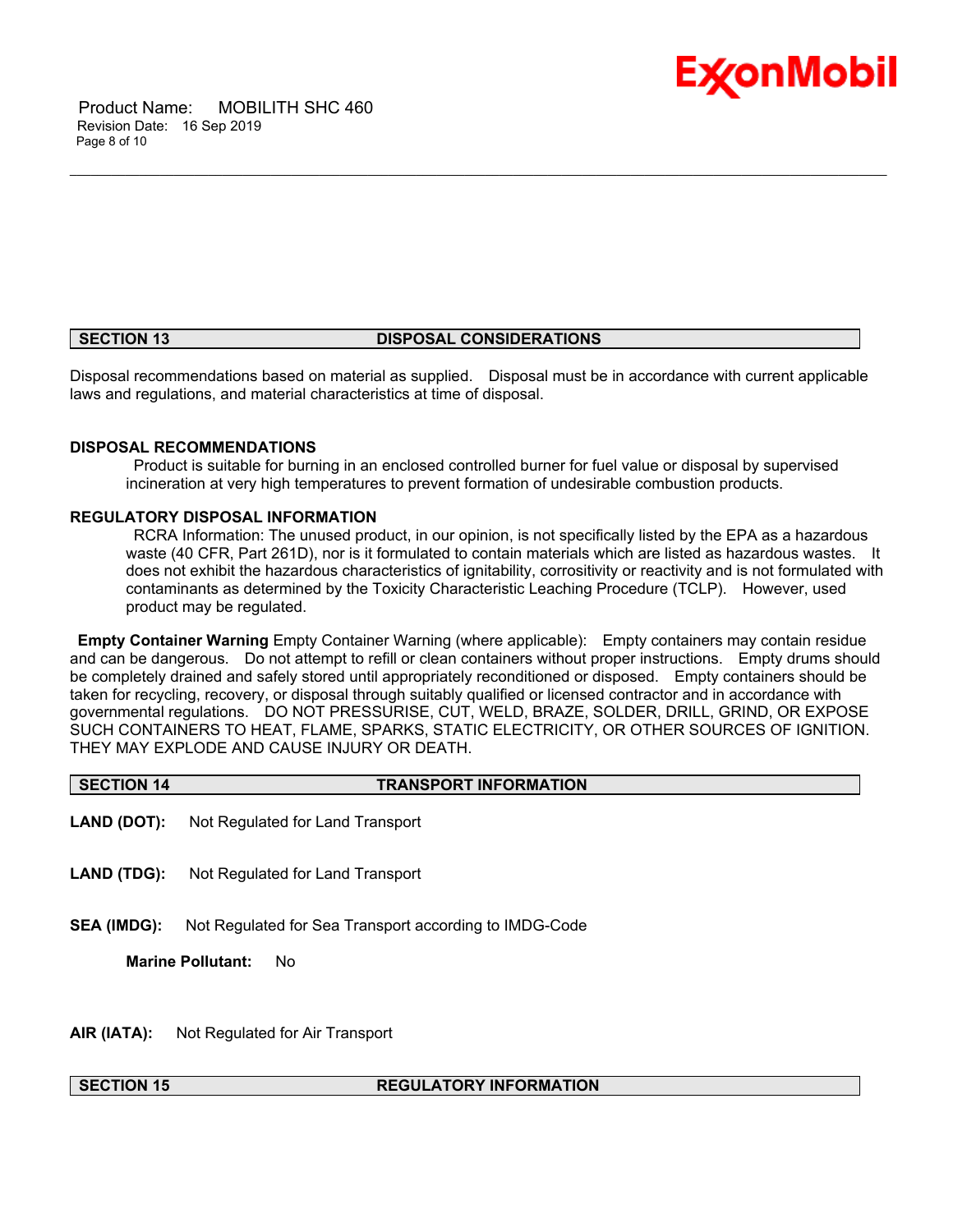



#### **SECTION 13 DISPOSAL CONSIDERATIONS**

\_\_\_\_\_\_\_\_\_\_\_\_\_\_\_\_\_\_\_\_\_\_\_\_\_\_\_\_\_\_\_\_\_\_\_\_\_\_\_\_\_\_\_\_\_\_\_\_\_\_\_\_\_\_\_\_\_\_\_\_\_\_\_\_\_\_\_\_\_\_\_\_\_\_\_\_\_\_\_\_\_\_\_\_\_\_\_\_\_\_\_\_\_\_\_\_\_\_\_\_\_\_\_\_\_\_\_\_\_\_\_\_\_\_\_\_\_\_

Disposal recommendations based on material as supplied. Disposal must be in accordance with current applicable laws and regulations, and material characteristics at time of disposal.

#### **DISPOSAL RECOMMENDATIONS**

 Product is suitable for burning in an enclosed controlled burner for fuel value or disposal by supervised incineration at very high temperatures to prevent formation of undesirable combustion products.

#### **REGULATORY DISPOSAL INFORMATION**

 RCRA Information: The unused product, in our opinion, is not specifically listed by the EPA as a hazardous waste (40 CFR, Part 261D), nor is it formulated to contain materials which are listed as hazardous wastes. It does not exhibit the hazardous characteristics of ignitability, corrositivity or reactivity and is not formulated with contaminants as determined by the Toxicity Characteristic Leaching Procedure (TCLP). However, used product may be regulated.

**Empty Container Warning** Empty Container Warning (where applicable): Empty containers may contain residue and can be dangerous. Do not attempt to refill or clean containers without proper instructions. Empty drums should be completely drained and safely stored until appropriately reconditioned or disposed. Empty containers should be taken for recycling, recovery, or disposal through suitably qualified or licensed contractor and in accordance with governmental regulations. DO NOT PRESSURISE, CUT, WELD, BRAZE, SOLDER, DRILL, GRIND, OR EXPOSE SUCH CONTAINERS TO HEAT, FLAME, SPARKS, STATIC ELECTRICITY, OR OTHER SOURCES OF IGNITION. THEY MAY EXPLODE AND CAUSE INJURY OR DEATH.

**SECTION 14 TRANSPORT INFORMATION**

- **LAND (DOT):** Not Regulated for Land Transport
- **LAND (TDG):** Not Regulated for Land Transport
- **SEA (IMDG):** Not Regulated for Sea Transport according to IMDG-Code

**Marine Pollutant:** No

**AIR (IATA):** Not Regulated for Air Transport

#### **SECTION 15 REGULATORY INFORMATION**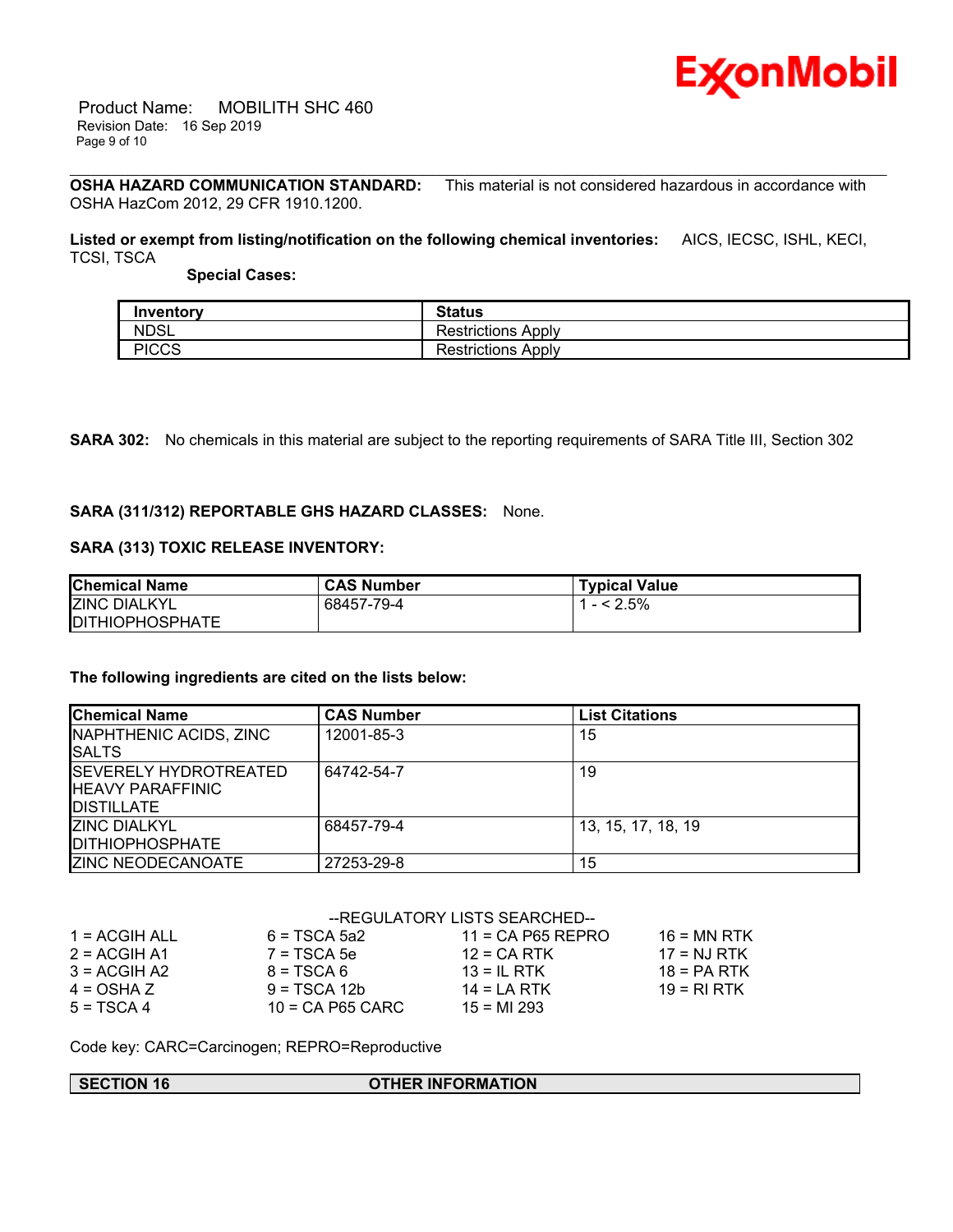

 Product Name: MOBILITH SHC 460 Revision Date: 16 Sep 2019 Page 9 of 10

\_\_\_\_\_\_\_\_\_\_\_\_\_\_\_\_\_\_\_\_\_\_\_\_\_\_\_\_\_\_\_\_\_\_\_\_\_\_\_\_\_\_\_\_\_\_\_\_\_\_\_\_\_\_\_\_\_\_\_\_\_\_\_\_\_\_\_\_\_\_\_\_\_\_\_\_\_\_\_\_\_\_\_\_\_\_\_\_\_\_\_\_\_\_\_\_\_\_\_\_\_\_\_\_\_\_\_\_\_\_\_\_\_\_\_\_\_\_ **OSHA HAZARD COMMUNICATION STANDARD:** This material is not considered hazardous in accordance with OSHA HazCom 2012, 29 CFR 1910.1200.

**Listed or exempt from listing/notification on the following chemical inventories:** AICS, IECSC, ISHL, KECI, TCSI, TSCA

 **Special Cases:**

| Inventory    | <b>Status</b>             |
|--------------|---------------------------|
| <b>NDSL</b>  | <b>Restrictions Apply</b> |
| <b>PICCS</b> | <b>Restrictions Apply</b> |

**SARA 302:** No chemicals in this material are subject to the reporting requirements of SARA Title III, Section 302

#### **SARA (311/312) REPORTABLE GHS HAZARD CLASSES:** None.

### **SARA (313) TOXIC RELEASE INVENTORY:**

| <b>Chemical Name</b>   | <b>CAS Number</b> | <b>Typical Value</b> |
|------------------------|-------------------|----------------------|
| <b>ZINC DIALKYL</b>    | 68457-79-4        | $- < 2.5\%$          |
| <b>DITHIOPHOSPHATE</b> |                   |                      |

#### **The following ingredients are cited on the lists below:**

| <b>Chemical Name</b>                                                           | <b>CAS Number</b> | <b>List Citations</b> |
|--------------------------------------------------------------------------------|-------------------|-----------------------|
| NAPHTHENIC ACIDS, ZINC<br><b>I</b> SALTS                                       | 12001-85-3        | 15                    |
| <b>ISEVERELY HYDROTREATED</b><br><b>IHEAVY PARAFFINIC</b><br><b>DISTILLATE</b> | 64742-54-7        | 19                    |
| <b>ZINC DIALKYL</b><br><b>IDITHIOPHOSPHATE</b>                                 | 68457-79-4        | 13, 15, 17, 18, 19    |
| <b>ZINC NEODECANOATE</b>                                                       | 27253-29-8        | 15                    |

#### --REGULATORY LISTS SEARCHED--

| $1 = ACGIH ALL$ | $6 = TSCA$ 5a2     | $11 = CA$ P65 REPRO | $16$ = MN RTK |
|-----------------|--------------------|---------------------|---------------|
| $2 = ACGIH A1$  | $7 = TSCA5e$       | $12$ = CA RTK       | $17 = NJ RTK$ |
| $3 = ACGIH A2$  | $8 = TSCA6$        | $13 = IL$ RTK       | $18 = PA RTK$ |
| $4 = OSHA Z$    | $9 = TSCA 12b$     | $14 = I A RTK$      | $19 = RIRTK$  |
| $5 = TSCA4$     | $10 = CA$ P65 CARC | $15 = M1 293$       |               |

Code key: CARC=Carcinogen; REPRO=Reproductive

#### **SECTION 16 OTHER INFORMATION**